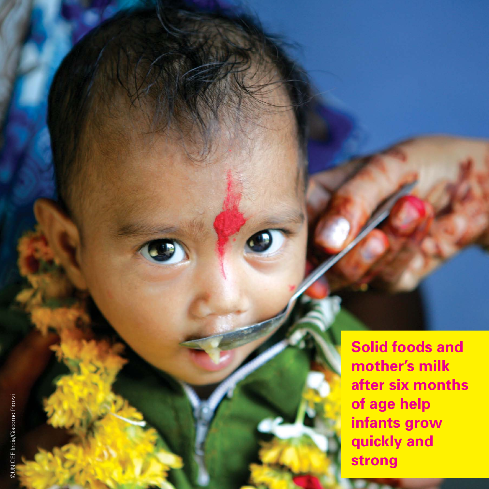**Solid foods and mother's milk after six months of age help infants grow quickly and strong**